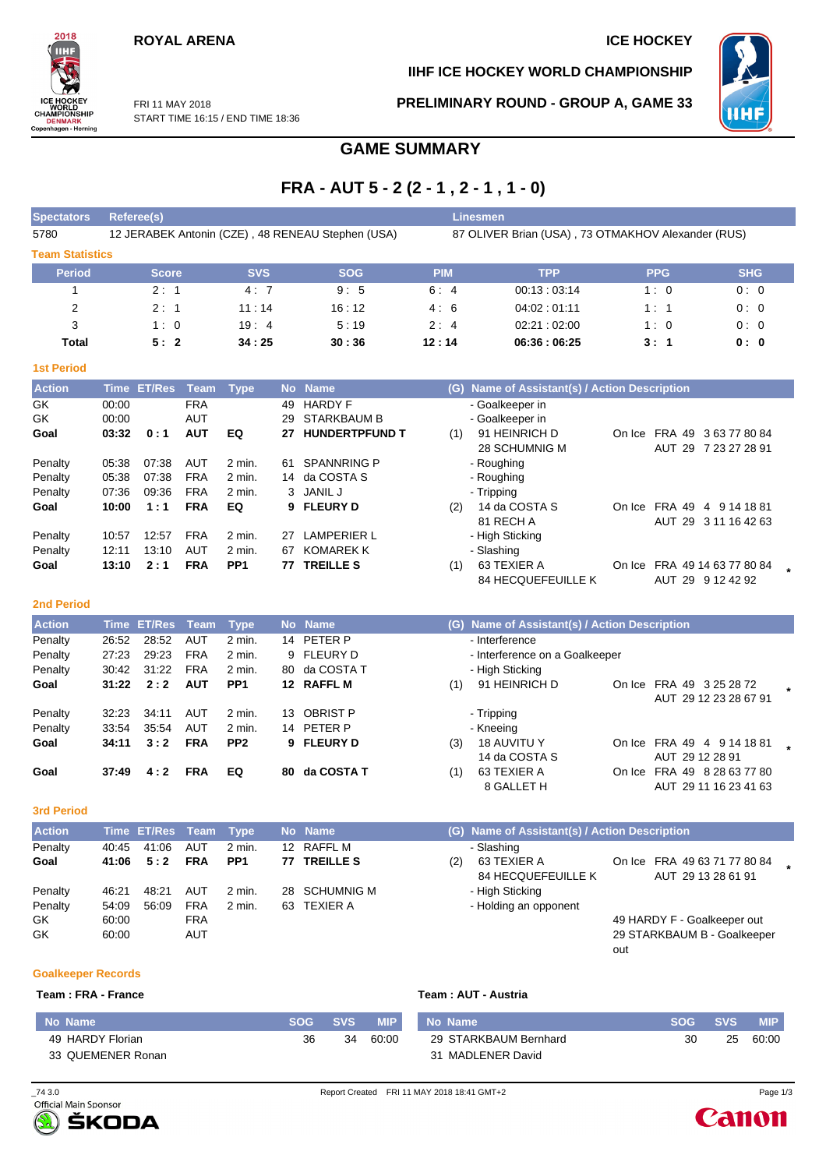### **ROYAL ARENA ICE HOCKEY**

### **IIHF ICE HOCKEY WORLD CHAMPIONSHIP**



FRI 11 MAY 2018 START TIME 16:15 / END TIME 18:36 **PRELIMINARY ROUND - GROUP A, GAME 33**

out



### **GAME SUMMARY**

# **FRA - AUT 5 - 2 (2 - 1 , 2 - 1 , 1 - 0)**

| <b>Spectators</b>      | Referee(s)                                        |            |            | Linesmen                                           |             |            |            |  |  |  |
|------------------------|---------------------------------------------------|------------|------------|----------------------------------------------------|-------------|------------|------------|--|--|--|
| 5780                   | 12 JERABEK Antonin (CZE), 48 RENEAU Stephen (USA) |            |            | 87 OLIVER Brian (USA), 73 OTMAKHOV Alexander (RUS) |             |            |            |  |  |  |
| <b>Team Statistics</b> |                                                   |            |            |                                                    |             |            |            |  |  |  |
| <b>Period</b>          | <b>Score</b>                                      | <b>SVS</b> | <b>SOG</b> | <b>PIM</b>                                         | <b>TPP</b>  | <b>PPG</b> | <b>SHG</b> |  |  |  |
|                        | 2:1                                               | 4:7        | 9:5        | 6:4                                                | 00:13:03:14 | 1:0        | 0:0        |  |  |  |
| $\overline{2}$         | 2:1                                               | 11:14      | 16:12      | 4:6                                                | 04.02:01.11 | 1:1        | 0:0        |  |  |  |
| 3                      | 1:0                                               | 19:4       | 5:19       | 2:4                                                | 02:21:02:00 | 1:0        | 0:0        |  |  |  |
| Total                  | 5:2                                               | 34:25      | 30:36      | 12:14                                              | 06:36:06:25 | 3:1        | 0:0        |  |  |  |
| <b>1st Period</b>      |                                                   |            |            |                                                    |             |            |            |  |  |  |

| <b>Action</b> |       | Time ET/Res | Team Type  |                   |    | No Name               |     | (G) Name of Assistant(s) / Action Description |        |               |                       |  |
|---------------|-------|-------------|------------|-------------------|----|-----------------------|-----|-----------------------------------------------|--------|---------------|-----------------------|--|
| GK            | 00:00 |             | <b>FRA</b> |                   | 49 | <b>HARDY F</b>        |     | - Goalkeeper in                               |        |               |                       |  |
| GK            | 00:00 |             | AUT        |                   | 29 | <b>STARKBAUM B</b>    |     | - Goalkeeper in                               |        |               |                       |  |
| Goal          | 03:32 | 0:1         | <b>AUT</b> | EQ                | 27 | <b>HUNDERTPFUND T</b> | (1) | 91 HEINRICH D                                 | On Ice |               | FRA 49 363778084      |  |
|               |       |             |            |                   |    |                       |     | 28 SCHUMNIG M                                 |        |               | AUT 29 7 23 27 28 91  |  |
| Penalty       | 05:38 | 07:38       | AUT        | $2 \text{ min}$ . | 61 | <b>SPANNRING P</b>    |     | - Roughing                                    |        |               |                       |  |
| Penalty       | 05:38 | 07:38       | <b>FRA</b> | 2 min.            | 14 | da COSTA S            |     | - Roughing                                    |        |               |                       |  |
| Penalty       | 07:36 | 09:36       | <b>FRA</b> | $2 \text{ min}$ . |    | 3 JANIL J             |     | - Tripping                                    |        |               |                       |  |
| Goal          | 10:00 | 1:1         | <b>FRA</b> | EQ                |    | 9 FLEURY D            | (2) | 14 da COSTA S                                 | On Ice | <b>FRA 49</b> | 9 14 18 81<br>4       |  |
|               |       |             |            |                   |    |                       |     | 81 RECH A                                     |        |               | AUT 29 3 11 16 42 63  |  |
| Penalty       | 10:57 | 12:57       | <b>FRA</b> | $2 \text{ min}$ . | 27 | <b>LAMPERIER L</b>    |     | - High Sticking                               |        |               |                       |  |
| Penalty       | 12:11 | 13:10       | <b>AUT</b> | $2 \text{ min}$ . | 67 | <b>KOMAREK K</b>      |     | - Slashing                                    |        |               |                       |  |
| Goal          | 13:10 | 2:1         | <b>FRA</b> | PP <sub>1</sub>   | 77 | <b>TREILLE S</b>      | (1) | 63 TEXIER A                                   | On Ice |               | FRA 49 14 63 77 80 84 |  |
|               |       |             |            |                   |    |                       |     | <b>84 HECQUEFEUILLE K</b>                     |        |               | AUT 29 9 12 42 92     |  |

#### **2nd Period**

| <b>Action</b> |       | Time ET/Res Team |            | <b>Type</b>     |     | No Name       |     | (G) Name of Assistant(s) / Action Description |                             |  |
|---------------|-------|------------------|------------|-----------------|-----|---------------|-----|-----------------------------------------------|-----------------------------|--|
| Penalty       | 26:52 | 28:52            | AUT        | 2 min.          |     | 14 PETER P    |     | - Interference                                |                             |  |
| Penalty       | 27:23 | 29.23            | <b>FRA</b> | 2 min.          |     | 9 FLEURY D    |     | - Interference on a Goalkeeper                |                             |  |
| Penalty       | 30:42 | 31:22            | <b>FRA</b> | 2 min.          |     | 80 da COSTA T |     | - High Sticking                               |                             |  |
| Goal          | 31:22 | 2:2              | <b>AUT</b> | PP <sub>1</sub> |     | 12 RAFFL M    | (1) | 91 HEINRICH D                                 | On Ice FRA 49 3 25 28 72    |  |
|               |       |                  |            |                 |     |               |     |                                               | AUT 29 12 23 28 67 91       |  |
| Penalty       | 32:23 | 34:11            | AUT        | 2 min.          |     | 13 OBRIST P   |     | - Tripping                                    |                             |  |
| Penalty       | 33:54 | 35.54            | AUT        | 2 min.          |     | 14 PETER P    |     | - Kneeing                                     |                             |  |
| Goal          | 34:11 | 3:2              | <b>FRA</b> | PP <sub>2</sub> |     | 9 FLEURY D    | (3) | 18 AUVITU Y                                   | On Ice FRA 49 4 9 14 18 81  |  |
|               |       |                  |            |                 |     |               |     | 14 da COSTA S                                 | AUT 29 12 28 91             |  |
| Goal          | 37:49 | 4:2              | <b>FRA</b> | EQ              | 80. | da COSTA T    | (1) | 63 TEXIER A                                   | On Ice FRA 49 8 28 63 77 80 |  |
|               |       |                  |            |                 |     |               |     | 8 GALLET H                                    | AUT 29 11 16 23 41 63       |  |

#### **3rd Period**

| <b>Action</b> |       | Time ET/Res Team Type |            |                 | No Name       |     | (G) Name of Assistant(s) / Action Description |                              |  |
|---------------|-------|-----------------------|------------|-----------------|---------------|-----|-----------------------------------------------|------------------------------|--|
| Penalty       | 40:45 | 41:06                 | AUT        | $2$ min.        | 12 RAFFL M    |     | - Slashing                                    |                              |  |
| Goal          |       | $41:06$ $5:2$         | <b>FRA</b> | PP <sub>1</sub> | 77 TREILLE S  | (2) | 63 TEXIER A                                   | On Ice FRA 49 63 71 77 80 84 |  |
|               |       |                       |            |                 |               |     | <b>84 HECQUEFEUILLE K</b>                     | AUT 29 13 28 61 91           |  |
| Penalty       | 46:21 | 48:21                 | AUT        | 2 min.          | 28 SCHUMNIG M |     | - High Sticking                               |                              |  |
| Penalty       | 54:09 | 56:09                 | <b>FRA</b> | 2 min.          | 63 TEXIER A   |     | - Holding an opponent                         |                              |  |
| GK.           | 60:00 |                       | FRA        |                 |               |     |                                               | 49 HARDY F - Goalkeeper out  |  |
| GK            | 60:00 |                       | AUT        |                 |               |     |                                               | 29 STARKBAUM B - Goalkeeper  |  |

#### **Goalkeeper Records**

#### **Team : FRA - France Team : AUT - Austria**

| Mo Name           | <b>SOG</b> | <b>SVS</b> | <b>MIP</b> | No Name               | <b>SOG SVS</b> |    | <b>MIP</b> |
|-------------------|------------|------------|------------|-----------------------|----------------|----|------------|
| 49 HARDY Florian  | 36         | 34         | 60:00      | 29 STARKBAUM Bernhard | 30             | 25 | 60:00      |
| 33 QUEMENER Ronan |            |            |            | 31 MADLENER David     |                |    |            |



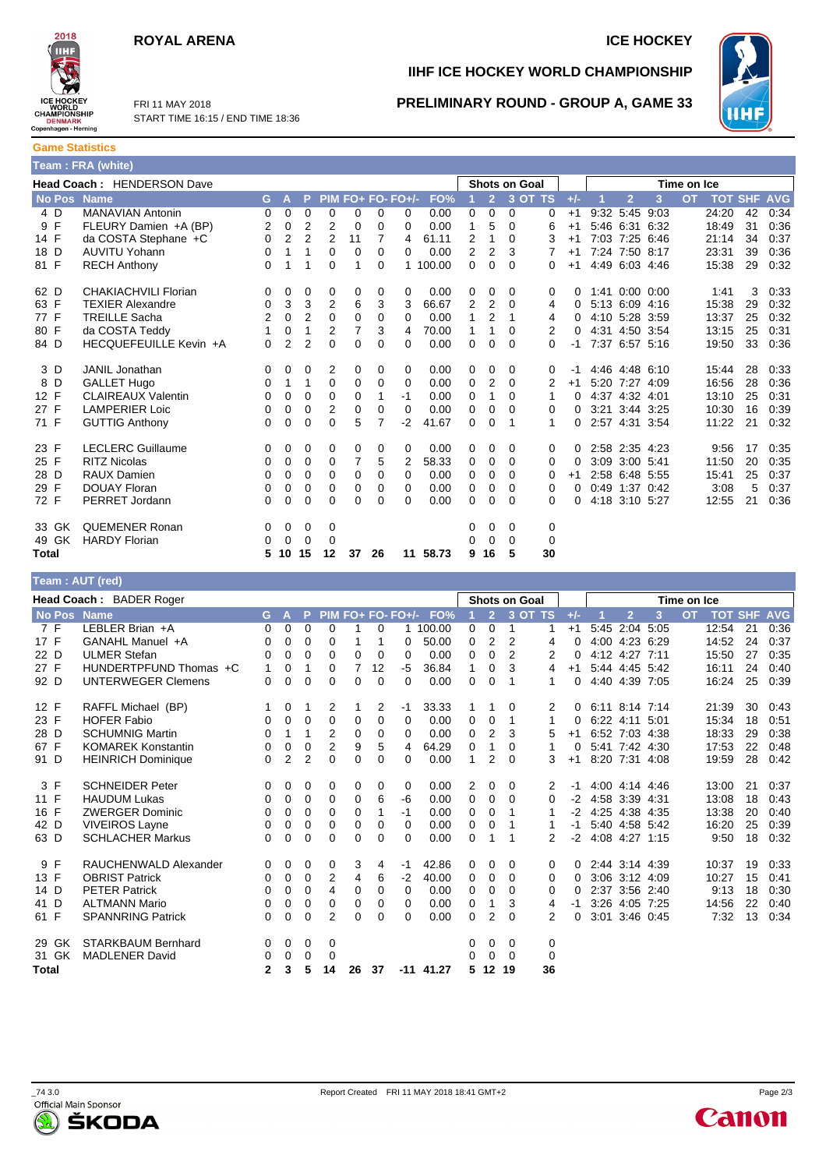### **ROYAL ARENA ICE HOCKEY**





FRI 11 MAY 2018 START TIME 16:15 / END TIME 18:36

## **IIHF ICE HOCKEY WORLD CHAMPIONSHIP**



**PRELIMINARY ROUND - GROUP A, GAME 33**

**Game Statistics Team : FRA (white)**

| Head Coach: HENDERSON Dave |                           |          |             |                |          |                |    | <b>Shots on Goal</b><br>Time on Ice |          |   |                |          |             |          |      |                  |                |           |       |                |            |
|----------------------------|---------------------------|----------|-------------|----------------|----------|----------------|----|-------------------------------------|----------|---|----------------|----------|-------------|----------|------|------------------|----------------|-----------|-------|----------------|------------|
| No Pos Name                |                           | G        | A           | P              |          |                |    | PIM FO+ FO- FO+/-                   | FO%      |   | $\overline{2}$ |          | 3 OT TS     | $+/-$    |      | $\overline{2}$   | 3              | <b>OT</b> |       | <b>TOT SHF</b> | <b>AVG</b> |
| 4 D                        | <b>MANAVIAN Antonin</b>   | 0        | $\mathbf 0$ | $\mathbf 0$    | 0        | 0              | 0  | 0                                   | 0.00     | 0 | 0              | 0        | 0           | $+1$     | 9:32 | 5:45 9:03        |                |           | 24:20 | 42             | 0:34       |
| 9 F                        | FLEURY Damien +A (BP)     | 2        | 0           | 2              | 2        | 0              | 0  | 0                                   | 0.00     | 1 | 5              | $\Omega$ | 6           | $+1$     |      | 5:46 6:31 6:32   |                |           | 18:49 | 31             | 0:36       |
| 14 F                       | da COSTA Stephane +C      | 0        | 2           | $\overline{2}$ | 2        | 11             | 7  | 4                                   | 61.11    | 2 | 1              | $\Omega$ | 3           | $+1$     |      | 7:03 7:25 6:46   |                |           | 21:14 | 34             | 0:37       |
| 18 D                       | <b>AUVITU Yohann</b>      | 0        | 1           | 1              | 0        | 0              | 0  | 0                                   | 0.00     | 2 | 2              | 3        |             | $+1$     |      | 7:24 7:50 8:17   |                |           | 23:31 | 39             | 0:36       |
| 81 F                       | <b>RECH Anthony</b>       | 0        | 1           | 1              | 0        | 1              | 0  |                                     | 1 100.00 | 0 | 0              | $\Omega$ | 0           | $+1$     |      | 4:49 6:03 4:46   |                |           | 15:38 | 29             | 0:32       |
| 62 D                       | CHAKIACHVILI Florian      | 0        | 0           | 0              | 0        | 0              | 0  | 0                                   | 0.00     | 0 | 0              | 0        | 0           | 0        |      | $1:41$ 0:00 0:00 |                |           | 1:41  | 3              | 0:33       |
| 63 F                       | <b>TEXIER Alexandre</b>   | $\Omega$ | 3           | 3              | 2        | 6              | 3  | 3                                   | 66.67    | 2 | 2              | $\Omega$ | 4           | 0        |      | 5:13 6:09 4:16   |                |           | 15:38 | 29             | 0:32       |
| 77 F                       | <b>TREILLE Sacha</b>      | 2        | $\mathbf 0$ | $\overline{2}$ | 0        | 0              | 0  | 0                                   | 0.00     | 1 | 2              | 1        | 4           | 0        |      | 4:10 5:28 3:59   |                |           | 13:37 | 25             | 0:32       |
| 80 F                       | da COSTA Teddy            |          | 0           | 1              | 2        | $\overline{7}$ | 3  | 4                                   | 70.00    | 1 | 1              | $\Omega$ | 2           | 0        |      | 4:31 4:50 3:54   |                |           | 13:15 | 25             | 0:31       |
| 84 D                       | HECQUEFEUILLE Kevin +A    | $\Omega$ | 2           | 2              | 0        | 0              | 0  | 0                                   | 0.00     | 0 | 0              | $\Omega$ | 0           | -1       |      | 7:37 6:57 5:16   |                |           | 19:50 | 33             | 0:36       |
| 3 D                        | JANIL Jonathan            | 0        | 0           | 0              | 2        | 0              | 0  | 0                                   | 0.00     | 0 | 0              | 0        | 0           | -1       |      | 4:46 4:48 6:10   |                |           | 15:44 | 28             | 0:33       |
| 8 D                        | <b>GALLET Hugo</b>        | 0        | 1           | 1              | 0        | 0              | 0  | 0                                   | 0.00     | 0 | 2              | 0        | 2           | $+1$     |      | 5:20 7:27 4:09   |                |           | 16:56 | 28             | 0:36       |
| 12 F                       | <b>CLAIREAUX Valentin</b> | 0        | 0           | 0              | 0        | 0              |    | $-1$                                | 0.00     | 0 | 1              | $\Omega$ | 1           | 0        |      | 4:37 4:32 4:01   |                |           | 13:10 | 25             | 0:31       |
| 27 F                       | <b>LAMPERIER Loic</b>     | 0        | $\mathbf 0$ | 0              | 2        | 0              | 0  | 0                                   | 0.00     | 0 | 0              | $\Omega$ | 0           | 0        |      | 3:21 3:44 3:25   |                |           | 10:30 | 16             | 0:39       |
| 71 F                       | <b>GUTTIG Anthony</b>     | 0        | 0           | 0              | 0        | 5              | 7  | $-2$                                | 41.67    | 0 | 0              | 1        | 1           | 0        |      |                  | 2:57 4:31 3:54 |           | 11:22 | 21             | 0:32       |
| 23 F                       | <b>LECLERC Guillaume</b>  | 0        | 0           | 0              | 0        | 0              | 0  | 0                                   | 0.00     | 0 | 0              | $\Omega$ | 0           | 0        |      | 2:58 2:35 4:23   |                |           | 9:56  | 17             | 0:35       |
| 25 F                       | <b>RITZ Nicolas</b>       | 0        | 0           | 0              | 0        | 7              | 5  | 2                                   | 58.33    | 0 | 0              | 0        | 0           | 0        |      | 3:09 3:00 5:41   |                |           | 11:50 | 20             | 0:35       |
| 28 D                       | <b>RAUX Damien</b>        | 0        | 0           | 0              | 0        | 0              | 0  | 0                                   | 0.00     | 0 | 0              | 0        | 0           | $+1$     |      | 2:58 6:48 5:55   |                |           | 15:41 | 25             | 0:37       |
| 29 F                       | <b>DOUAY Floran</b>       | 0        | 0           | 0              | 0        | 0              | 0  | 0                                   | 0.00     | 0 | 0              | 0        | 0           | $\Omega$ |      |                  | 0:49 1:37 0:42 |           | 3:08  | 5              | 0:37       |
| 72 F                       | PERRET Jordann            | 0        | 0           | $\Omega$       | $\Omega$ | 0              | 0  | 0                                   | 0.00     | 0 | 0              | $\Omega$ | 0           | 0        |      | 4:18 3:10 5:27   |                |           | 12:55 | 21             | 0:36       |
| 33 GK                      | <b>QUEMENER Ronan</b>     | 0        | 0           | 0              | 0        |                |    |                                     |          | 0 | 0              | 0        | 0           |          |      |                  |                |           |       |                |            |
| GK<br>49                   | <b>HARDY Florian</b>      | 0        | $\Omega$    | $\Omega$       | 0        |                |    |                                     |          | 0 | $\Omega$       | $\Omega$ | $\mathbf 0$ |          |      |                  |                |           |       |                |            |
| Total                      |                           | 5        | 10          | 15             | 12       | 37             | 26 | 11                                  | 58.73    | 9 | 16             | 5        | 30          |          |      |                  |                |           |       |                |            |

| Team: AUT (red)    |                           |              |                |                |                |          |          |                   |             |          |                |                |                      |       |                |                |           |             |            |            |            |
|--------------------|---------------------------|--------------|----------------|----------------|----------------|----------|----------|-------------------|-------------|----------|----------------|----------------|----------------------|-------|----------------|----------------|-----------|-------------|------------|------------|------------|
|                    | Head Coach: BADER Roger   |              |                |                |                |          |          |                   |             |          |                |                | <b>Shots on Goal</b> |       |                |                |           | Time on Ice |            |            |            |
| <b>No Pos Name</b> |                           | G.           | A              | P              |                |          |          | PIM FO+ FO- FO+/- | FO%         |          | 2 <sup>1</sup> |                | 3 OT TS              | $+/-$ |                | $\overline{2}$ | 3         | <b>OT</b>   | <b>TOT</b> | <b>SHF</b> | <b>AVG</b> |
| 7 F                | LEBLER Brian +A           | 0            | 0              | 0              | 0              |          | 0        |                   | 100.00      | 0        | $\mathbf 0$    | 1              |                      | $+1$  | 5:45           |                | 2:04 5:05 |             | 12:54      | 21         | 0:36       |
| 17 F               | GANAHL Manuel +A          | 0            | 0              | 0              | 0              | 1        | 1        | 0                 | 50.00       | 0        | $\overline{2}$ | $\overline{2}$ | 4                    | 0     |                | 4:00 4:23 6:29 |           |             | 14:52      | 24         | 0:37       |
| 22 D               | <b>ULMER Stefan</b>       | 0            | 0              | 0              | 0              | 0        | 0        | 0                 | 0.00        | $\Omega$ | $\mathbf 0$    | $\overline{2}$ | 2                    | 0     |                | 4:12 4:27      | 7:11      |             | 15:50      | 27         | 0:35       |
| 27 F               | HUNDERTPFUND Thomas +C    | 1            | 0              | 1              | 0              | 7        | 12       | $-5$              | 36.84       | 1        | $\mathbf 0$    | 3              | 4                    | $+1$  |                | 5:44 4:45 5:42 |           |             | 16:11      | 24         | 0:40       |
| 92 D               | <b>UNTERWEGER Clemens</b> | 0            | 0              | 0              | 0              | $\Omega$ | $\Omega$ | 0                 | 0.00        | 0        | 0              | 1              | 1                    | 0     |                | 4:40 4:39 7:05 |           |             | 16:24      | 25         | 0:39       |
| 12 F               | RAFFL Michael (BP)        |              | 0              | 1              | 2              | 1        | 2        | $-1$              | 33.33       | 1        | 1              | 0              | 2                    | 0     | 6:11 8:14 7:14 |                |           |             | 21:39      | 30         | 0.43       |
| 23 F               | <b>HOFER Fabio</b>        | 0            | 0              | 0              | 0              | 0        | 0        | 0                 | 0.00        | 0        | $\mathbf 0$    | 1              | 1                    | 0     |                | $6:22$ 4:11    | 5:01      |             | 15:34      | 18         | 0:51       |
| 28 D               | <b>SCHUMNIG Martin</b>    | 0            | 1              | 1              | 2              | 0        | 0        | 0                 | 0.00        | 0        | 2              | 3              | 5                    | $+1$  |                | 6:52 7:03 4:38 |           |             | 18:33      | 29         | 0:38       |
| 67 F               | <b>KOMAREK Konstantin</b> | 0            | 0              | 0              | $\overline{c}$ | 9        | 5        | 4                 | 64.29       | 0        | 1              | 0              | 1                    | 0     |                | 5:41 7:42 4:30 |           |             | 17:53      | 22         | 0:48       |
| 91 D               | <b>HEINRICH Dominique</b> | 0            | $\overline{2}$ | $\overline{2}$ | 0              | 0        | 0        | 0                 | 0.00        | 1        | 2              | $\Omega$       | 3                    | $+1$  |                | 8:20 7:31 4:08 |           |             | 19:59      | 28         | 0:42       |
| 3 F                | <b>SCHNEIDER Peter</b>    | 0            | 0              | 0              | 0              | 0        | 0        | 0                 | 0.00        | 2        | 0              | 0              | 2                    | $-1$  |                | 4:00 4:14 4:46 |           |             | 13:00      | 21         | 0:37       |
| 11 F               | <b>HAUDUM Lukas</b>       | 0            | 0              | 0              | 0              | 0        | 6        | -6                | 0.00        | 0        | 0              | $\Omega$       | 0                    | $-2$  |                | 4:58 3:39      | 4:31      |             | 13:08      | 18         | 0:43       |
| 16 F               | <b>ZWERGER Dominic</b>    | 0            | 0              | 0              | 0              | 0        | 1        | $-1$              | 0.00        | 0        | 0              |                | 1                    | -2    |                | 4:25 4:38 4:35 |           |             | 13:38      | 20         | 0:40       |
| 42 D               | <b>VIVEIROS Layne</b>     | 0            | 0              | 0              | $\mathbf 0$    | 0        | 0        | 0                 | 0.00        | 0        | 0              |                |                      | -1    |                | 5:40 4:58 5:42 |           |             | 16:20      | 25         | 0:39       |
| 63 D               | <b>SCHLACHER Markus</b>   | $\Omega$     | 0              | 0              | $\Omega$       | 0        | $\Omega$ | $\Omega$          | 0.00        | 0        | 1              | 1              | 2                    | $-2$  | 4:08 4:27 1:15 |                |           |             | 9:50       | 18         | 0:32       |
| 9 F                | RAUCHENWALD Alexander     | 0            | 0              | 0              | 0              | 3        | 4        | $-1$              | 42.86       | 0        | 0              | 0              | 0                    | 0     |                | 2:44 3:14 4:39 |           |             | 10:37      | 19         | 0:33       |
| 13 F               | <b>OBRIST Patrick</b>     | 0            | 0              | 0              | 2              | 4        | 6        | $-2$              | 40.00       | 0        | 0              | $\Omega$       | 0                    | 0     |                | 3:06 3:12 4:09 |           |             | 10:27      | 15         | 0:41       |
| 14 D               | <b>PETER Patrick</b>      | 0            | 0              | 0              | 4              | 0        | 0        | $\Omega$          | 0.00        | 0        | 0              | 0              | 0                    | 0     |                | 2:37 3:56 2:40 |           |             | 9:13       | 18         | 0:30       |
| 41 D               | <b>ALTMANN Mario</b>      | 0            | 0              | 0              | 0              | 0        | 0        | 0                 | 0.00        | 0        | 1              | 3              | 4                    | -1    |                | 3:26 4:05 7:25 |           |             | 14:56      | 22         | 0:40       |
| 61 F               | <b>SPANNRING Patrick</b>  | $\Omega$     | 0              | 0              | $\overline{2}$ | 0        | 0        | $\Omega$          | 0.00        | $\Omega$ | $\overline{2}$ | $\Omega$       | 2                    | 0     | 3:01           | 3:46 0:45      |           |             | 7:32       | 13         | 0:34       |
| 29 GK              | <b>STARKBAUM Bernhard</b> | 0            | 0              | 0              | 0              |          |          |                   |             | 0        | 0              | 0              | 0                    |       |                |                |           |             |            |            |            |
| 31 GK              | <b>MADLENER David</b>     | 0            | 0              | 0              | 0              |          |          |                   |             | 0        | 0              | $\Omega$       | 0                    |       |                |                |           |             |            |            |            |
| <b>Total</b>       |                           | $\mathbf{2}$ | 3              | 5              | 14             | 26       | 37       |                   | $-11$ 41.27 | 5        | $12 \,$        | 19             | 36                   |       |                |                |           |             |            |            |            |